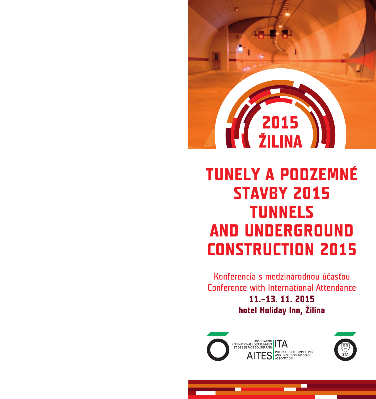# **ENERGISTICI ANNI DE LA PERSONA DE LA PERSONA DE LA PERSONA DE LA PERSONA DE LA PERSONA DE LA PERSONA DE LA PER**<br>ENERGIA DE LA PERSONA DE LA PERSONA DE LA PERSONA DE LA PERSONA DE LA PERSONA DE LA PERSONA DE LA PERSONA DE

# **TUNELY A PODZEMNÉ STAVBY 2015 TUNNELS AND UNDERGROUND CONSTRUCTION 2015**

Konferencia s medzinárodnou účasťou Conference with International Attendance **11.–13. 11. 2015 hotel Holiday Inn, Žilina**



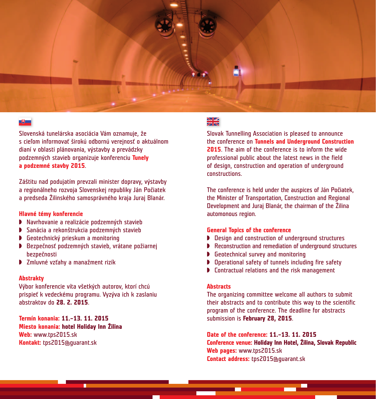

#### $\Box$

Slovenská tunelárska asociácia Vám oznamuje, že s cieľom informovať širokú odbornú verejnosť o aktuálnom dianí v oblasti plánovania, výstavby a prevádzky podzemných stavieb organizuje konferenciu **Tunely a podzemné stavby 2015**.

Záštitu nad podujatím prevzali minister dopravy, výstavby a regionálneho rozvoja Slovenskej republiky Ján Počiatek a predseda Žilinského samosprávného kraja Juraj Blanár.

#### **Hlavné témy konferencie**

- ◗ Navrhovanie a realizácie podzemných stavieb
- ◗ Sanácia a rekonštrukcia podzemných stavieb
- ◗ Geotechnický prieskum a monitoring
- ◗ Bezpečnosť podzemných stavieb, vrátane požiarnej bezpečnosti
- ◗ Zmluvné vzťahy a manažment rizík

#### **Abstrakty**

Výbor konferencie víta všetkých autorov, ktorí chcú prispieť k vedeckému programu. Vyzýva ich k zaslaniu abstraktov do **28. 2. 2015**.

**Termín konania: 11.–13. 11. 2015 Miesto konania: hotel Holiday Inn Žilina Web:** www.tps2015.sk **Kontakt:** tps2015@guarant.sk

### $\frac{N}{N}$

Slovak Tunnelling Association is pleased to announce the conference on **Tunnels and Underground Construction 2015**. The aim of the conference is to inform the wide professional public about the latest news in the field of design, construction and operation of underground constructions.

The conference is held under the auspices of Ján Počiatek, the Minister of Transportation, Construction and Regional Development and Juraj Blanár, the chairman of the Žilina automonous region.

#### **General Topics of the conference**

- ◗ Design and construction of underground structures
- ◗ Reconstruction and remediation of underground structures
- ◗ Geotechnical survey and monitoring
- ◗ Operational safety of tunnels including fire safety
- ◗ Contractual relations and the risk management

#### **Abstracts**

The organizing committee welcome all authors to submit their abstracts and to contribute this way to the scientific program of the conference. The deadline for abstracts submission is **February 28, 2015**.

**Date of the conference: 11.–13. 11. 2015 Conference venue: Holiday Inn Hotel, Žilina, Slovak Republic Web pages:** www.tps2015.sk **Contact address:** tps2015@guarant.sk